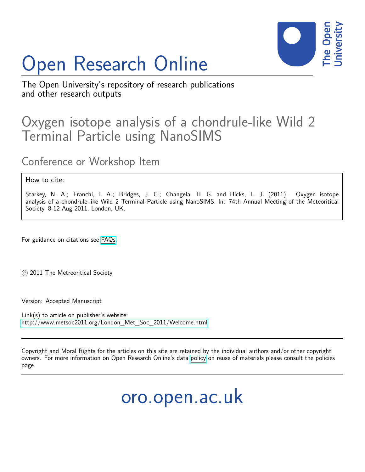## Open Research Online



The Open University's repository of research publications and other research outputs

## Oxygen isotope analysis of a chondrule-like Wild 2 Terminal Particle using NanoSIMS

Conference or Workshop Item

## How to cite:

Starkey, N. A.; Franchi, I. A.; Bridges, J. C.; Changela, H. G. and Hicks, L. J. (2011). Oxygen isotope analysis of a chondrule-like Wild 2 Terminal Particle using NanoSIMS. In: 74th Annual Meeting of the Meteoritical Society, 8-12 Aug 2011, London, UK.

For guidance on citations see [FAQs.](http://oro.open.ac.uk/help/helpfaq.html)

 $\circ$  2011 The Metreoritical Society

Version: Accepted Manuscript

Link(s) to article on publisher's website: [http://www.metsoc2011.org/London\\_Met\\_Soc\\_2011/Welcome.html](http://www.metsoc2011.org/London_Met_Soc_2011/Welcome.html)

Copyright and Moral Rights for the articles on this site are retained by the individual authors and/or other copyright owners. For more information on Open Research Online's data [policy](http://oro.open.ac.uk/policies.html) on reuse of materials please consult the policies page.

oro.open.ac.uk